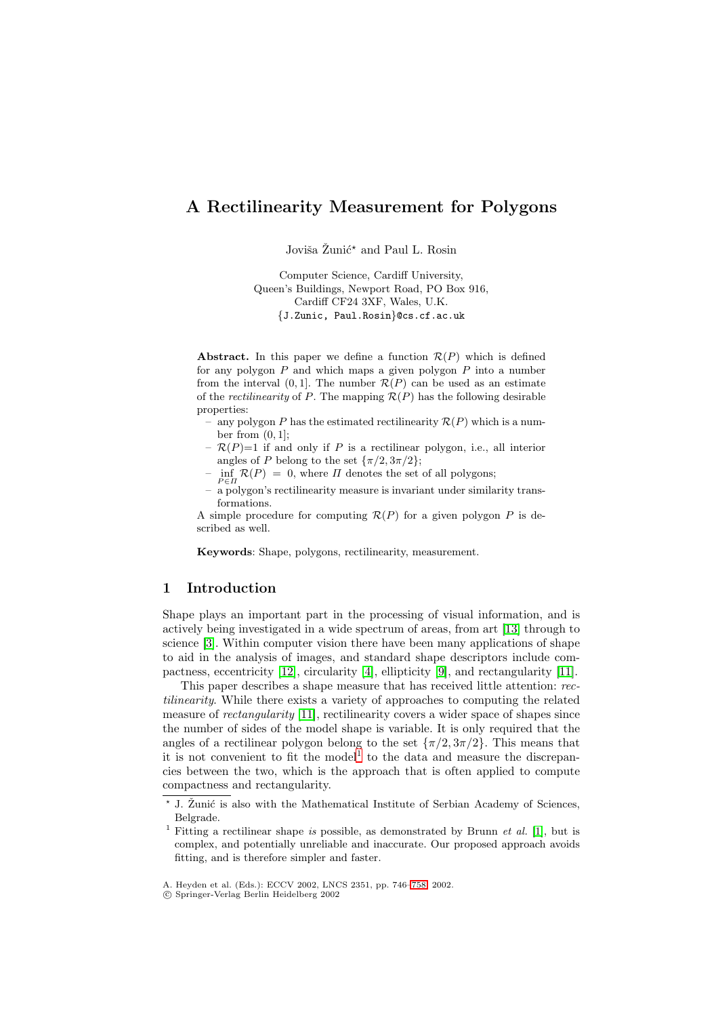# **A Rectilinearity Measurement for Polygons**

Joviša Žunić<sup>\*</sup> and Paul L. Rosin

Computer Science, Cardiff University, Queen's Buildings, Newport Road, PO Box 916, Cardiff CF24 3XF, Wales, U.K. {J.Zunic, Paul.Rosin}@cs.cf.ac.uk

**Abstract.** In this paper we define a function  $\mathcal{R}(P)$  which is defined for any polygon  $P$  and which maps a given polygon  $P$  into a number from the interval  $(0, 1]$ . The number  $\mathcal{R}(P)$  can be used as an estimate of the *rectilinearity* of P. The mapping  $\mathcal{R}(P)$  has the following desirable properties:

- any polygon P has the estimated rectilinearity  $\mathcal{R}(P)$  which is a number from  $(0, 1]$ ;
- $\mathcal{R}(P)=1$  if and only if P is a rectilinear polygon, i.e., all interior angles of P belong to the set  $\{\pi/2, 3\pi/2\}$ ;
- $-$  inf  $\mathcal{R}(P)=0$ , where  $\Pi$  denotes the set of all polygons;
- a polygon's rectilinearity measure is invariant under similarity transformations.

A simple procedure for computing  $\mathcal{R}(P)$  for a given polygon P is described as well.

**Keywords**: Shape, polygons, rectilinearity, measurement.

## **1 Introduction**

Shape plays an important part in the processing of visual information, and is actively being investigated in a wide spectrum of areas, from art [\[13\]](#page-12-0) through to science [\[3\]](#page-12-0). Within computer vision there have been many applications of shape to aid in the analysis of images, and standard shape descriptors include compactness, eccentricity [\[12\]](#page-12-0), circularity [\[4\]](#page-12-0), ellipticity [\[9\]](#page-12-0), and rectangularity [\[11\]](#page-12-0).

This paper describes a shape measure that has received little attention: rectilinearity. While there exists a variety of approaches to computing the related measure of rectangularity [\[11\]](#page-12-0), rectilinearity covers a wider space of shapes since the number of sides of the model shape is variable. It is only required that the angles of a rectilinear polygon belong to the set  ${\pi/2, 3\pi/2}$ . This means that it is not convenient to fit the model<sup>1</sup> to the data and measure the discrepancies between the two, which is the approach that is often applied to compute compactness and rectangularity.

c Springer-Verlag Berlin Heidelberg 2002

<sup>\*</sup> J. Žunić is also with the Mathematical Institute of Serbian Academy of Sciences, Belgrade.

<sup>&</sup>lt;sup>1</sup> Fitting a rectilinear shape is possible, as demonstrated by Brunn *et al.* [\[1\]](#page-12-0), but is complex, and potentially unreliable and inaccurate. Our proposed approach avoids fitting, and is therefore simpler and faster.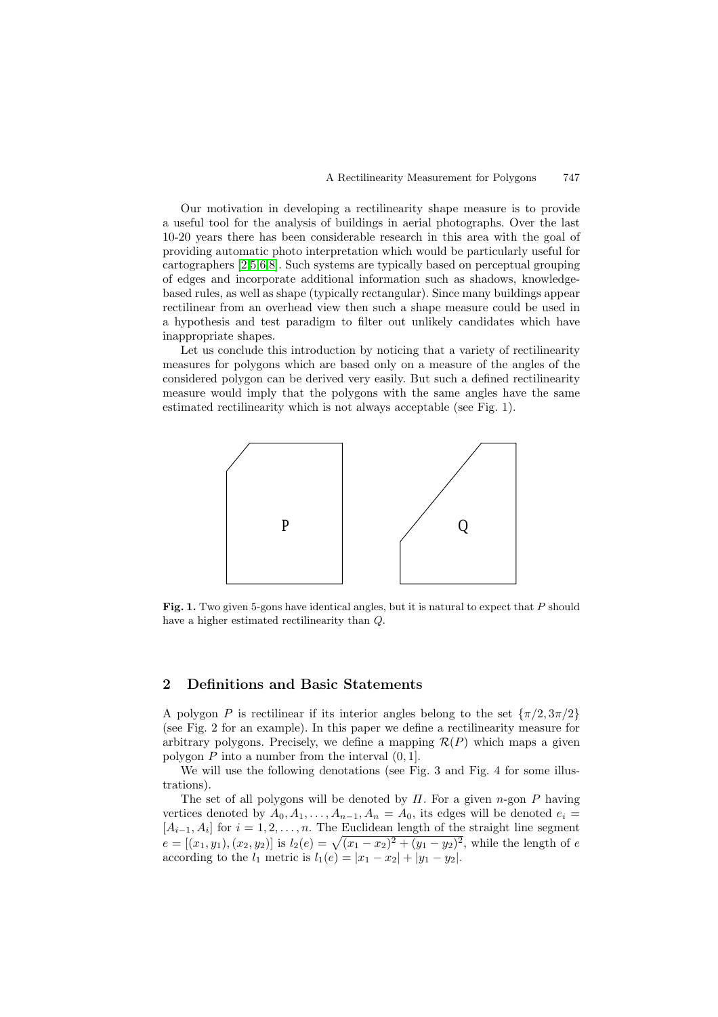Our motivation in developing a rectilinearity shape measure is to provide a useful tool for the analysis of buildings in aerial photographs. Over the last 10-20 years there has been considerable research in this area with the goal of providing automatic photo interpretation which would be particularly useful for cartographers [\[2,5,6,8\]](#page-12-0). Such systems are typically based on perceptual grouping of edges and incorporate additional information such as shadows, knowledgebased rules, as well as shape (typically rectangular). Since many buildings appear rectilinear from an overhead view then such a shape measure could be used in a hypothesis and test paradigm to filter out unlikely candidates which have inappropriate shapes.

Let us conclude this introduction by noticing that a variety of rectilinearity measures for polygons which are based only on a measure of the angles of the considered polygon can be derived very easily. But such a defined rectilinearity measure would imply that the polygons with the same angles have the same estimated rectilinearity which is not always acceptable (see Fig. 1).



Fig. 1. Two given 5-gons have identical angles, but it is natural to expect that P should have a higher estimated rectilinearity than Q.

#### **2 Definitions and Basic Statements**

A polygon P is rectilinear if its interior angles belong to the set  $\{\pi/2, 3\pi/2\}$ (see Fig. 2 for an example). In this paper we define a rectilinearity measure for arbitrary polygons. Precisely, we define a mapping  $\mathcal{R}(P)$  which maps a given polygon  $P$  into a number from the interval  $(0, 1]$ .

We will use the following denotations (see Fig. 3 and Fig. 4 for some illustrations).

The set of all polygons will be denoted by  $\Pi$ . For a given n-gon P having vertices denoted by  $A_0, A_1, \ldots, A_{n-1}, A_n = A_0$ , its edges will be denoted  $e_i =$  $[A_{i-1}, A_i]$  for  $i = 1, 2, ..., n$ . The Euclidean length of the straight line segment  $e = [(x_1, y_1), (x_2, y_2)]$  is  $l_2(e) = \sqrt{(x_1 - x_2)^2 + (y_1 - y_2)^2}$ , while the length of e according to the  $l_1$  metric is  $l_1(e) = |x_1 - x_2| + |y_1 - y_2|$ .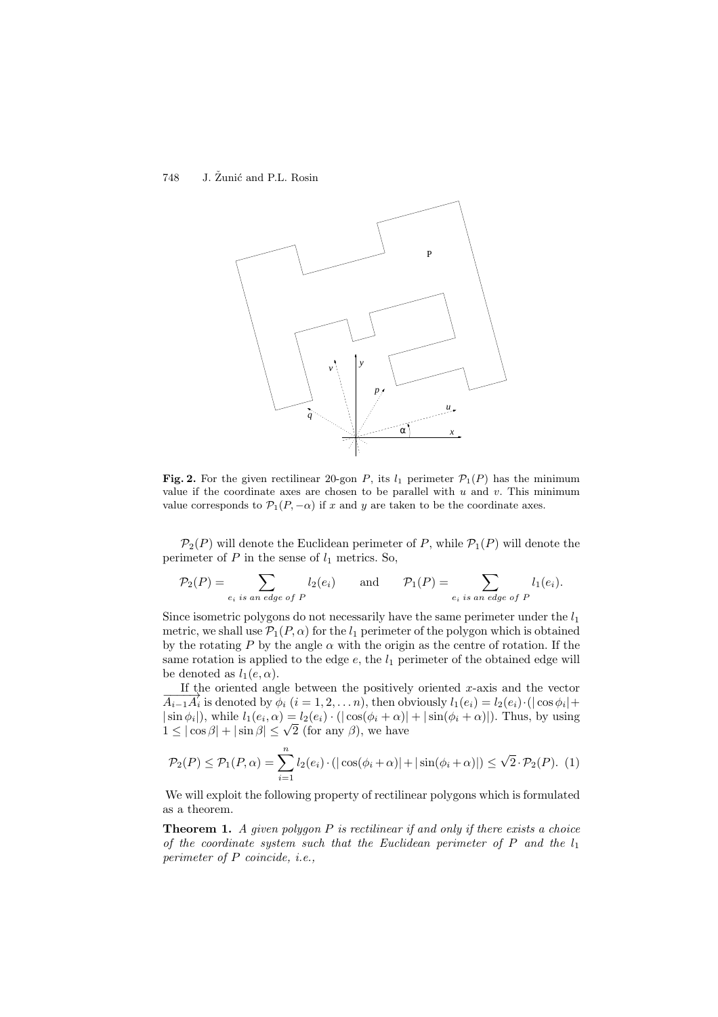

**Fig. 2.** For the given rectilinear 20-gon P, its  $l_1$  perimeter  $\mathcal{P}_1(P)$  has the minimum value if the coordinate axes are chosen to be parallel with  $u$  and  $v$ . This minimum value corresponds to  $\mathcal{P}_1(P,-\alpha)$  if x and y are taken to be the coordinate axes.

 $\mathcal{P}_2(P)$  will denote the Euclidean perimeter of P, while  $\mathcal{P}_1(P)$  will denote the perimeter of  $P$  in the sense of  $l_1$  metrics. So,

$$
\mathcal{P}_2(P) = \sum_{e_i \text{ is an edge of } P} l_2(e_i) \quad \text{and} \quad \mathcal{P}_1(P) = \sum_{e_i \text{ is an edge of } P} l_1(e_i).
$$

Since isometric polygons do not necessarily have the same perimeter under the  $l_1$ metric, we shall use  $\mathcal{P}_1(P,\alpha)$  for the  $l_1$  perimeter of the polygon which is obtained by the rotating P by the angle  $\alpha$  with the origin as the centre of rotation. If the same rotation is applied to the edge  $e$ , the  $l_1$  perimeter of the obtained edge will be denoted as  $l_1(e, \alpha)$ .

If the oriented angle between the positively oriented  $x$ -axis and the vector  $\overline{A_{i-1}A_i}$  is denoted by  $\phi_i$   $(i = 1, 2, \ldots n)$ , then obviously  $l_1(e_i) = l_2(e_i) \cdot (|\cos \phi_i| +$  $|\sin \phi_i|$ , while  $l_1(e_i, \alpha) = l_2(e_i) \cdot (|\cos(\phi_i + \alpha)| + |\sin(\phi_i + \alpha)|)$ . Thus, by using  $1 \leq |\cos \beta| + |\sin \beta| \leq \sqrt{2}$  (for any  $\beta$ ), we have

$$
\mathcal{P}_2(P) \le \mathcal{P}_1(P,\alpha) = \sum_{i=1}^n l_2(e_i) \cdot \left( |\cos(\phi_i + \alpha)| + |\sin(\phi_i + \alpha)| \right) \le \sqrt{2} \cdot \mathcal{P}_2(P). \tag{1}
$$

We will exploit the following property of rectilinear polygons which is formulated as a theorem.

**Theorem 1.** A given polygon P is rectilinear if and only if there exists a choice of the coordinate system such that the Euclidean perimeter of P and the  $l_1$ perimeter of P coincide, i.e.,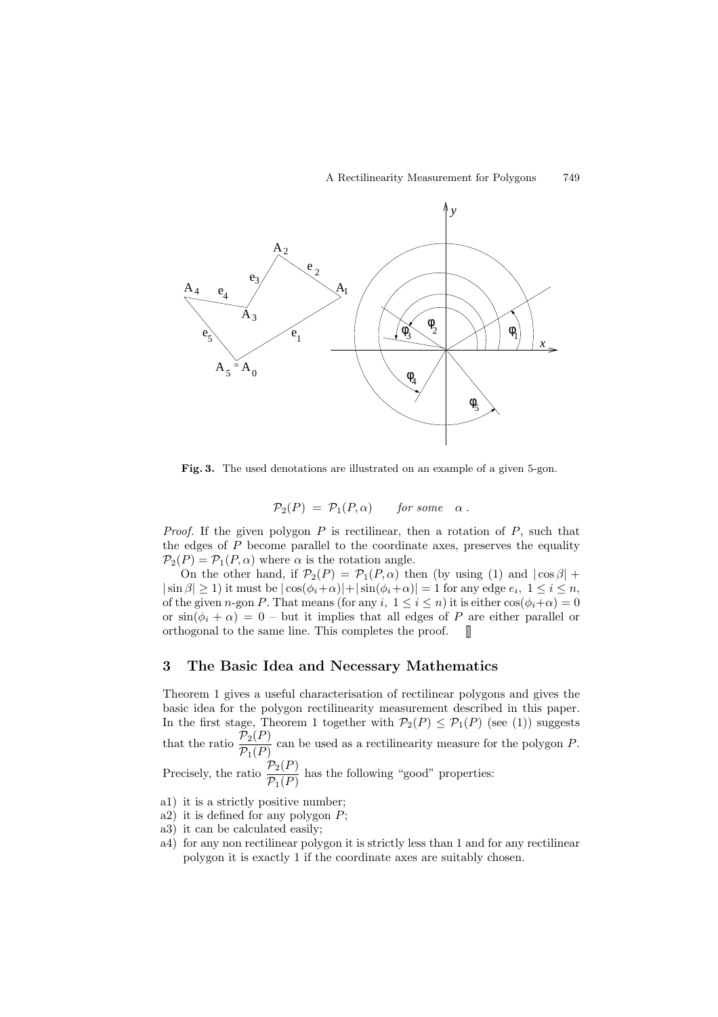

**Fig. 3.** The used denotations are illustrated on an example of a given 5-gon.

$$
\mathcal{P}_2(P) = \mathcal{P}_1(P,\alpha) \quad \text{for some} \quad \alpha \, .
$$

*Proof.* If the given polygon  $P$  is rectilinear, then a rotation of  $P$ , such that the edges of P become parallel to the coordinate axes, preserves the equality  $\mathcal{P}_2(P) = \mathcal{P}_1(P,\alpha)$  where  $\alpha$  is the rotation angle.

On the other hand, if  $\mathcal{P}_2(P) = \mathcal{P}_1(P,\alpha)$  then (by using (1) and  $|\cos \beta|$  +  $|\sin \beta| \ge 1$ ) it must be  $|\cos(\phi_i + \alpha)| + |\sin(\phi_i + \alpha)| = 1$  for any edge  $e_i$ ,  $1 \le i \le n$ , of the given n-gon P. That means (for any i,  $1 \leq i \leq n$ ) it is either  $\cos(\phi_i + \alpha) = 0$ or  $\sin(\phi_i + \alpha) = 0$  – but it implies that all edges of P are either parallel or orthogonal to the same line. This completes the proof.  $\blacksquare$ 

## **3 The Basic Idea and Necessary Mathematics**

Theorem 1 gives a useful characterisation of rectilinear polygons and gives the basic idea for the polygon rectilinearity measurement described in this paper. In the first stage, Theorem 1 together with  $P_2(P) \le P_1(P)$  (see (1)) suggests that the ratio  $\frac{\mathcal{P}_2(P)}{\mathcal{P}_1(P)}$  can be used as a rectilinearity measure for the polygon P. Precisely, the ratio  $\frac{\mathcal{P}_2(P)}{\mathcal{P}_1(P)}$  has the following "good" properties:

- a1) it is a strictly positive number;
- a2) it is defined for any polygon P;
- a3) it can be calculated easily;
- a4) for any non rectilinear polygon it is strictly less than 1 and for any rectilinear polygon it is exactly 1 if the coordinate axes are suitably chosen.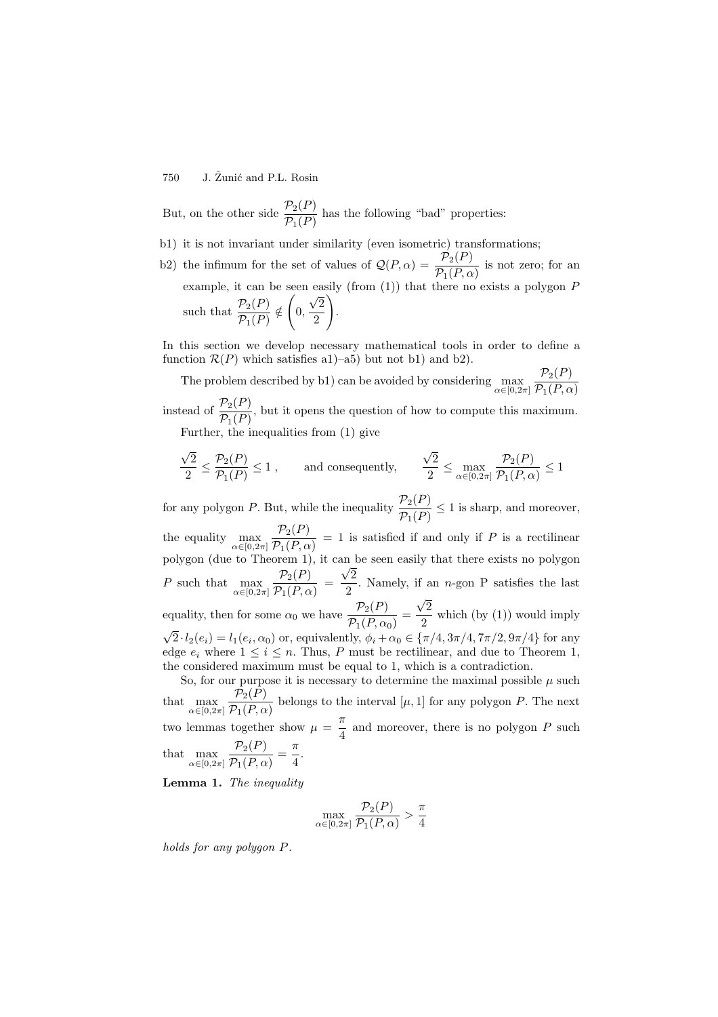But, on the other side  $\frac{\mathcal{P}_2(P)}{\mathcal{P}_1(P)}$  has the following "bad" properties:

- b1) it is not invariant under similarity (even isometric) transformations;
- b2) the infimum for the set of values of  $\mathcal{Q}(P,\alpha) = \frac{\mathcal{P}_2(P)}{\mathcal{P}_1(P,\alpha)}$  is not zero; for an example, it can be seen easily (from  $(1)$ ) that there no exists a polygon P such that  $\frac{\mathcal{P}_2(P)}{\mathcal{P}_1(P)} \notin$  $\sqrt{2}$  $\frac{\sqrt{2}}{0}, \frac{\sqrt{2}}{2}$ 2  $\setminus$ .

In this section we develop necessary mathematical tools in order to define a function  $\mathcal{R}(P)$  which satisfies a1)–a5) but not b1) and b2).

The problem described by b1) can be avoided by considering  $\max_{\alpha \in [0,2\pi]} \frac{\mathcal{P}_2(P)}{\mathcal{P}_1(P,\alpha)}$  $\mathcal{P}_1(P,\alpha)$ instead of  $\frac{\mathcal{P}_2(P)}{\mathcal{P}_1(P)}$ , but it opens the question of how to compute this maximum. Further, the inequalities from (1) give

$$
\frac{\sqrt{2}}{2} \leq \frac{\mathcal{P}_2(P)}{\mathcal{P}_1(P)} \leq 1\;,\qquad \text{and consequently,}\qquad \frac{\sqrt{2}}{2} \leq \max_{\alpha\in[0,2\pi]}\frac{\mathcal{P}_2(P)}{\mathcal{P}_1(P,\alpha)} \leq 1
$$

for any polygon P. But, while the inequality  $\frac{\mathcal{P}_2(P)}{\mathcal{P}_1(P)} \leq 1$  is sharp, and moreover, the equality  $\max_{\alpha \in [0, 2\pi]} \frac{\mathcal{P}_2(P)}{\mathcal{P}_1(P, \alpha)} = 1$  is satisfied if and only if P is a rectilinear polygon (due to Theorem 1), it can be seen easily that there exists no polygon P such that  $\max_{\alpha \in [0, 2\pi]} \frac{\mathcal{P}_2(P)}{\mathcal{P}_1(P, \alpha)} =$ √2  $\frac{1}{2}$ . Namely, if an *n*-gon P satisfies the last equality, then for some  $\alpha_0$  we have  $\frac{\mathcal{P}_2(P)}{\mathcal{P}_1(P,\alpha_0)}$  =  $\sqrt{2}$  $\frac{1}{2}$  which (by (1)) would imply  $\sqrt{2} \cdot l_2(e_i) = l_1(e_i, \alpha_0)$  or, equivalently,  $\phi_i + \alpha_0 \in {\pi/4, 3\pi/4, 7\pi/2, 9\pi/4}$  for any

edge  $e_i$  where  $1 \leq i \leq n$ . Thus, P must be rectilinear, and due to Theorem 1, the considered maximum must be equal to 1, which is a contradiction.

So, for our purpose it is necessary to determine the maximal possible  $\mu$  such that  $\max_{\alpha \in [0,2\pi]} \frac{\mathcal{P}_2(P)}{\mathcal{P}_1(P,\alpha)}$  belongs to the interval  $[\mu,1]$  for any polygon P. The next two lemmas together show  $\mu = \frac{\pi}{4}$  and moreover, there is no polygon P such that  $\max_{\alpha \in [0, 2\pi]} \frac{\mathcal{P}_2(P)}{\mathcal{P}_1(P, \alpha)} = \frac{\pi}{4}.$ 

**Lemma 1.** The inequality

$$
\max_{\alpha \in [0, 2\pi]} \frac{\mathcal{P}_2(P)}{\mathcal{P}_1(P, \alpha)} > \frac{\pi}{4}
$$

holds for any polygon P.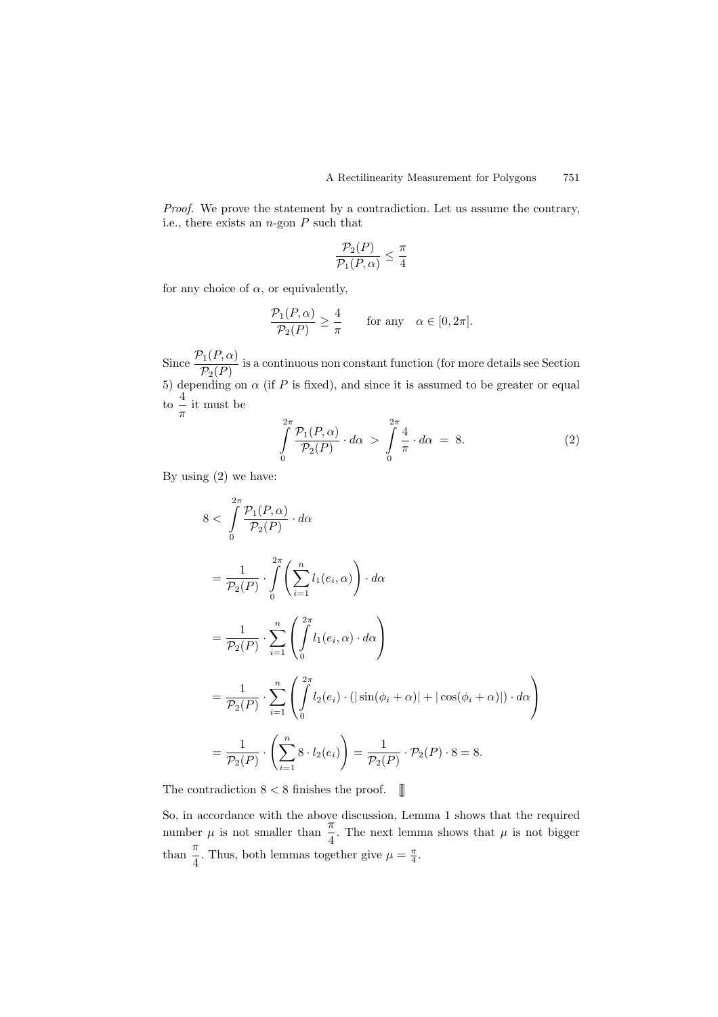Proof. We prove the statement by a contradiction. Let us assume the contrary, i.e., there exists an  $n$ -gon  $P$  such that

$$
\frac{\mathcal{P}_2(P)}{\mathcal{P}_1(P,\alpha)} \le \frac{\pi}{4}
$$

for any choice of  $\alpha$ , or equivalently,

$$
\frac{\mathcal{P}_1(P,\alpha)}{\mathcal{P}_2(P)} \ge \frac{4}{\pi} \quad \text{for any} \quad \alpha \in [0,2\pi].
$$

Since  $\frac{\mathcal{P}_1(P,\alpha)}{\mathcal{P}_2(P)}$  is a continuous non constant function (for more details see Section 5) depending on  $\alpha$  (if P is fixed), and since it is assumed to be greater or equal to  $\frac{4}{\pi}$  it must be

$$
\int_{0}^{2\pi} \frac{\mathcal{P}_1(P,\alpha)}{\mathcal{P}_2(P)} \cdot d\alpha > \int_{0}^{2\pi} \frac{4}{\pi} \cdot d\alpha = 8.
$$
 (2)

By using (2) we have:

$$
8 < \int_{0}^{2\pi} \frac{\mathcal{P}_1(P, \alpha)}{\mathcal{P}_2(P)} \cdot d\alpha
$$
  
= 
$$
\frac{1}{\mathcal{P}_2(P)} \cdot \int_{0}^{2\pi} \left( \sum_{i=1}^{n} l_1(e_i, \alpha) \right) \cdot d\alpha
$$
  
= 
$$
\frac{1}{\mathcal{P}_2(P)} \cdot \sum_{i=1}^{n} \left( \int_{0}^{2\pi} l_1(e_i, \alpha) \cdot d\alpha \right)
$$
  
= 
$$
\frac{1}{\mathcal{P}_2(P)} \cdot \sum_{i=1}^{n} \left( \int_{0}^{2\pi} l_2(e_i) \cdot (|\sin(\phi_i + \alpha)| + |\cos(\phi_i + \alpha)|) \cdot d\alpha \right)
$$
  
= 
$$
\frac{1}{\mathcal{P}_2(P)} \cdot \left( \sum_{i=1}^{n} 8 \cdot l_2(e_i) \right) = \frac{1}{\mathcal{P}_2(P)} \cdot \mathcal{P}_2(P) \cdot 8 = 8.
$$

The contradiction  $8 < 8$  finishes the proof.

So, in accordance with the above discussion, Lemma 1 shows that the required number  $\mu$  is not smaller than  $\frac{\pi}{4}$ . The next lemma shows that  $\mu$  is not bigger than  $\frac{\pi}{4}$ . Thus, both lemmas together give  $\mu = \frac{\pi}{4}$ .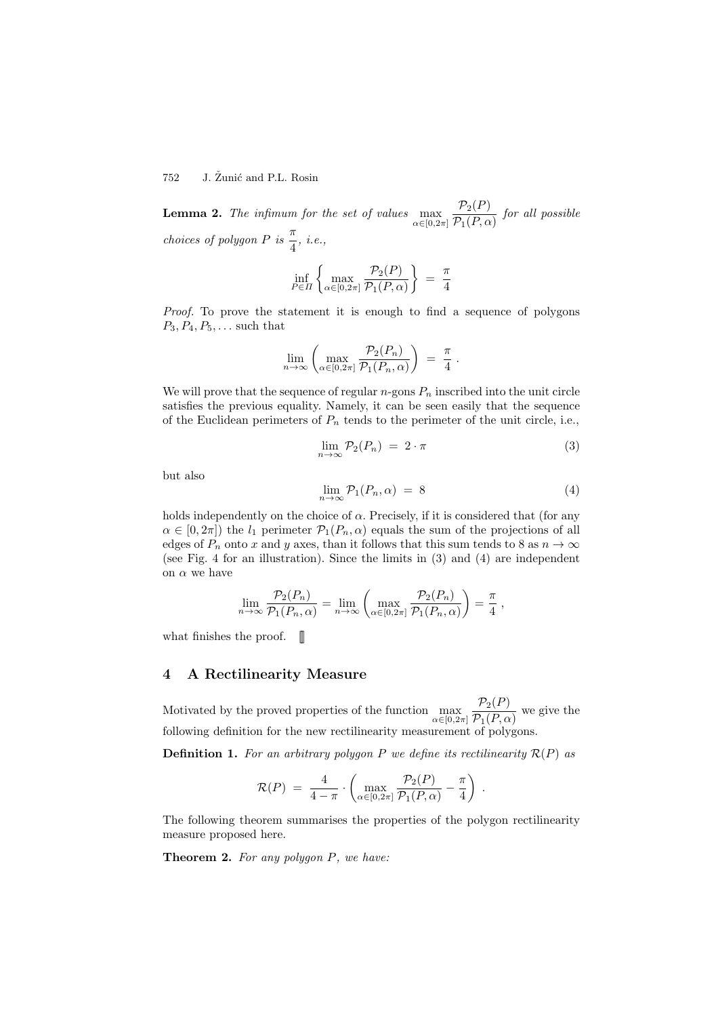**Lemma 2.** The infimum for the set of values  $\max_{\alpha \in [0,2\pi]}$  $\frac{\mathcal{P}_2(P)}{\mathcal{P}_1(P,\alpha)}$  for all possible choices of polygon  $P$  is  $\frac{\pi}{4}$ , i.e.,

$$
\inf_{P \in \Pi} \left\{ \max_{\alpha \in [0, 2\pi]} \frac{\mathcal{P}_2(P)}{\mathcal{P}_1(P, \alpha)} \right\} = \frac{\pi}{4}
$$

Proof. To prove the statement it is enough to find a sequence of polygons  $P_3, P_4, P_5, \ldots$  such that

$$
\lim_{n\to\infty}\left(\max_{\alpha\in[0,2\pi]}\frac{\mathcal{P}_2(P_n)}{\mathcal{P}_1(P_n,\alpha)}\right) = \frac{\pi}{4}.
$$

We will prove that the sequence of regular  $n$ -gons  $P_n$  inscribed into the unit circle satisfies the previous equality. Namely, it can be seen easily that the sequence of the Euclidean perimeters of  $P_n$  tends to the perimeter of the unit circle, i.e.,

$$
\lim_{n \to \infty} \mathcal{P}_2(P_n) = 2 \cdot \pi \tag{3}
$$

but also

$$
\lim_{n \to \infty} \mathcal{P}_1(P_n, \alpha) = 8 \tag{4}
$$

holds independently on the choice of  $\alpha$ . Precisely, if it is considered that (for any  $\alpha \in [0, 2\pi]$  the  $l_1$  perimeter  $\mathcal{P}_1(P_n, \alpha)$  equals the sum of the projections of all edges of  $P_n$  onto x and y axes, than it follows that this sum tends to 8 as  $n \to \infty$ (see Fig. 4 for an illustration). Since the limits in (3) and (4) are independent on  $\alpha$  we have

$$
\lim_{n \to \infty} \frac{\mathcal{P}_2(P_n)}{\mathcal{P}_1(P_n, \alpha)} = \lim_{n \to \infty} \left( \max_{\alpha \in [0, 2\pi]} \frac{\mathcal{P}_2(P_n)}{\mathcal{P}_1(P_n, \alpha)} \right) = \frac{\pi}{4} ,
$$

what finishes the proof.  $\mathbb{I}$ 

#### **4A Rectilinearity Measure**

Motivated by the proved properties of the function  $\max_{\alpha \in [0,2\pi]} \frac{\mathcal{P}_2(P)}{\mathcal{P}_1(P,\alpha)}$  we give the following definition for the new rectilinearity measurement of polygons.

**Definition 1.** For an arbitrary polygon P we define its rectilinearity  $\mathcal{R}(P)$  as

$$
\mathcal{R}(P) = \frac{4}{4-\pi} \cdot \left( \max_{\alpha \in [0,2\pi]} \frac{\mathcal{P}_2(P)}{\mathcal{P}_1(P,\alpha)} - \frac{\pi}{4} \right) .
$$

The following theorem summarises the properties of the polygon rectilinearity measure proposed here.

**Theorem 2.** For any polygon P, we have: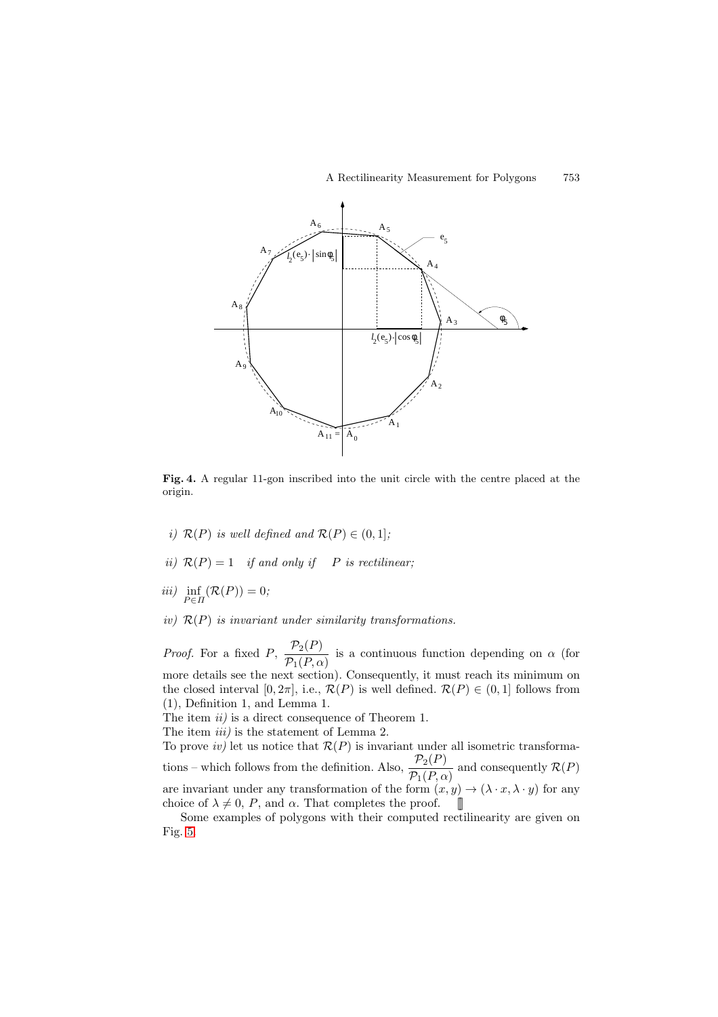

**Fig. 4.** A regular 11-gon inscribed into the unit circle with the centre placed at the origin.

- i)  $\mathcal{R}(P)$  is well defined and  $\mathcal{R}(P) \in (0,1]$ ;
- ii)  $\mathcal{R}(P)=1$  if and only if P is rectilinear;

$$
iii) \inf_{P \in \Pi} (\mathcal{R}(P)) = 0;
$$

iv)  $\mathcal{R}(P)$  is invariant under similarity transformations.

*Proof.* For a fixed P,  $\frac{\mathcal{P}_2(P)}{\mathcal{P}_1(P,\alpha)}$  is a continuous function depending on  $\alpha$  (for more details see the next section). Consequently, it must reach its minimum on the closed interval [0, 2 $\pi$ ], i.e.,  $\mathcal{R}(P)$  is well defined.  $\mathcal{R}(P) \in (0,1]$  follows from (1), Definition 1, and Lemma 1.

The item  $ii$ ) is a direct consequence of Theorem 1.

The item *iii*) is the statement of Lemma 2.

To prove *iv*) let us notice that  $\mathcal{R}(P)$  is invariant under all isometric transformations – which follows from the definition. Also,  $\frac{\mathcal{P}_2(P)}{\mathcal{P}_1(P,\alpha)}$  and consequently  $\mathcal{R}(P)$ are invariant under any transformation of the form  $(x, y) \rightarrow (\lambda \cdot x, \lambda \cdot y)$  for any choice of  $\lambda \neq 0$ , P, and  $\alpha$ . That completes the proof.

Some examples of polygons with their computed rectilinearity are given on Fig. [5.](#page-10-0)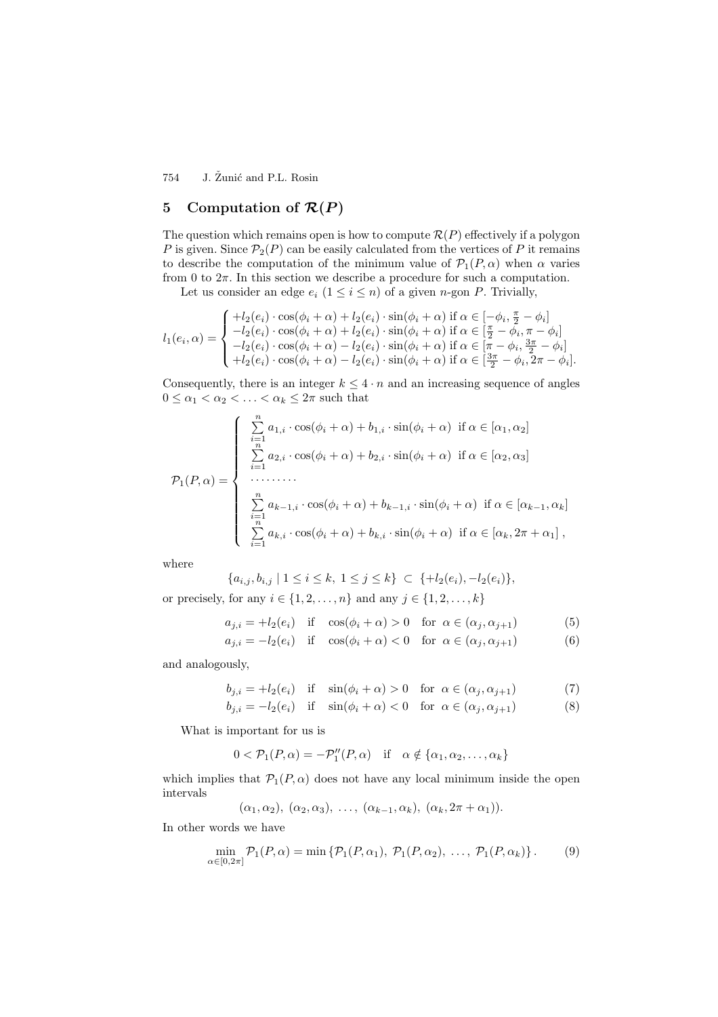## **5** Computation of  $\mathcal{R}(P)$

The question which remains open is how to compute  $\mathcal{R}(P)$  effectively if a polygon P is given. Since  $\mathcal{P}_2(P)$  can be easily calculated from the vertices of P it remains to describe the computation of the minimum value of  $\mathcal{P}_1(P,\alpha)$  when  $\alpha$  varies from 0 to  $2\pi$ . In this section we describe a procedure for such a computation.

Let us consider an edge  $e_i$   $(1 \leq i \leq n)$  of a given *n*-gon *P*. Trivially,

$$
l_1(e_i, \alpha) = \begin{cases} +l_2(e_i) \cdot \cos(\phi_i + \alpha) + l_2(e_i) \cdot \sin(\phi_i + \alpha) \text{ if } \alpha \in [-\phi_i, \frac{\pi}{2} - \phi_i] \\ -l_2(e_i) \cdot \cos(\phi_i + \alpha) + l_2(e_i) \cdot \sin(\phi_i + \alpha) \text{ if } \alpha \in [\frac{\pi}{2} - \phi_i, \pi - \phi_i] \\ -l_2(e_i) \cdot \cos(\phi_i + \alpha) - l_2(e_i) \cdot \sin(\phi_i + \alpha) \text{ if } \alpha \in [\pi - \phi_i, \frac{3\pi}{2} - \phi_i] \\ +l_2(e_i) \cdot \cos(\phi_i + \alpha) - l_2(e_i) \cdot \sin(\phi_i + \alpha) \text{ if } \alpha \in [\frac{3\pi}{2} - \phi_i, 2\pi - \phi_i]. \end{cases}
$$

Consequently, there is an integer  $k \leq 4 \cdot n$  and an increasing sequence of angles  $0 \leq \alpha_1 < \alpha_2 < \ldots < \alpha_k \leq 2\pi$  such that

$$
\mathcal{P}_1(P,\alpha) = \begin{cases}\n\sum_{\substack{i=1 \ i=1}}^n a_{1,i} \cdot \cos(\phi_i + \alpha) + b_{1,i} \cdot \sin(\phi_i + \alpha) & \text{if } \alpha \in [\alpha_1, \alpha_2] \\
\sum_{i=1}^n a_{2,i} \cdot \cos(\phi_i + \alpha) + b_{2,i} \cdot \sin(\phi_i + \alpha) & \text{if } \alpha \in [\alpha_2, \alpha_3] \\
\cdots \cdots \cdots \\
\sum_{\substack{i=1 \ n \ n}}^n a_{k-1,i} \cdot \cos(\phi_i + \alpha) + b_{k-1,i} \cdot \sin(\phi_i + \alpha) & \text{if } \alpha \in [\alpha_{k-1}, \alpha_k] \\
\sum_{i=1}^n a_{k,i} \cdot \cos(\phi_i + \alpha) + b_{k,i} \cdot \sin(\phi_i + \alpha) & \text{if } \alpha \in [\alpha_k, 2\pi + \alpha_1]\n\end{cases}
$$

where

$$
\{a_{i,j}, b_{i,j} \mid 1 \le i \le k, 1 \le j \le k\} \subset \{\pm l_2(e_i), -l_2(e_i)\},\
$$

or precisely, for any  $i \in \{1, 2, \ldots, n\}$  and any  $j \in \{1, 2, \ldots, k\}$ 

$$
a_{j,i} = +l_2(e_i) \quad \text{if} \quad \cos(\phi_i + \alpha) > 0 \quad \text{for } \alpha \in (\alpha_j, \alpha_{j+1}) \tag{5}
$$

$$
a_{j,i} = -l_2(e_i) \quad \text{if} \quad \cos(\phi_i + \alpha) < 0 \quad \text{for} \ \alpha \in (\alpha_j, \alpha_{j+1}) \tag{6}
$$

and analogously,

$$
b_{j,i} = +l_2(e_i) \quad \text{if} \quad \sin(\phi_i + \alpha) > 0 \quad \text{for } \alpha \in (\alpha_j, \alpha_{j+1}) \tag{7}
$$

$$
b_{j,i} = -l_2(e_i) \quad \text{if} \quad \sin(\phi_i + \alpha) < 0 \quad \text{for } \alpha \in (\alpha_j, \alpha_{j+1}) \tag{8}
$$

What is important for us is

$$
0 < \mathcal{P}_1(P, \alpha) = -\mathcal{P}_1''(P, \alpha) \quad \text{if} \quad \alpha \notin \{ \alpha_1, \alpha_2, \dots, \alpha_k \}
$$

which implies that  $\mathcal{P}_1(P,\alpha)$  does not have any local minimum inside the open intervals

$$
(\alpha_1, \alpha_2), (\alpha_2, \alpha_3), \ldots, (\alpha_{k-1}, \alpha_k), (\alpha_k, 2\pi + \alpha_1)).
$$

In other words we have

$$
\min_{\alpha \in [0,2\pi]} \mathcal{P}_1(P,\alpha) = \min \left\{ \mathcal{P}_1(P,\alpha_1), \ \mathcal{P}_1(P,\alpha_2), \ \dots, \ \mathcal{P}_1(P,\alpha_k) \right\}. \tag{9}
$$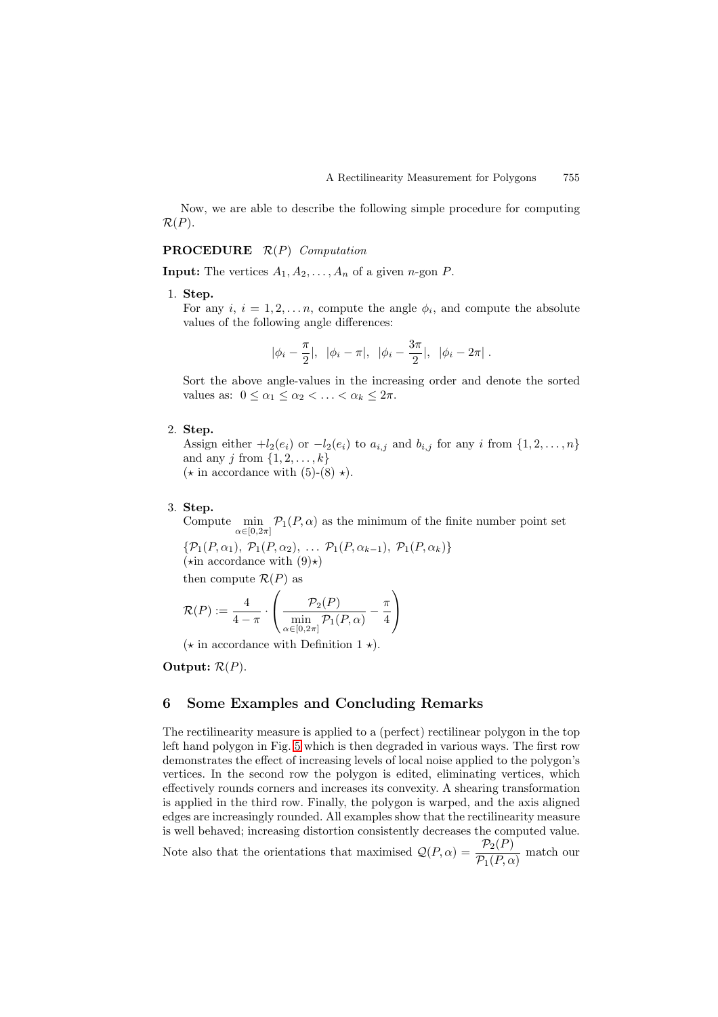Now, we are able to describe the following simple procedure for computing  $\mathcal{R}(P)$ .

#### **PROCEDURE** R(P) Computation

**Input:** The vertices  $A_1, A_2, \ldots, A_n$  of a given *n*-gon *P*.

#### 1. **Step.**

For any i,  $i = 1, 2, \ldots n$ , compute the angle  $\phi_i$ , and compute the absolute values of the following angle differences:

$$
|\phi_i - \frac{\pi}{2}|, \ |\phi_i - \pi|, \ |\phi_i - \frac{3\pi}{2}|, \ |\phi_i - 2\pi|.
$$

Sort the above angle-values in the increasing order and denote the sorted values as:  $0 \leq \alpha_1 \leq \alpha_2 < \ldots < \alpha_k \leq 2\pi$ .

#### 2. **Step.**

Assign either  $+l_2(e_i)$  or  $-l_2(e_i)$  to  $a_{i,j}$  and  $b_{i,j}$  for any i from  $\{1, 2, ..., n\}$ and any j from  $\{1, 2, \ldots, k\}$  $(\star \text{ in accordance with } (5)-(8) \star).$ 

#### 3. **Step.**

Compute  $\min_{\alpha \in [0,2\pi]} \mathcal{P}_1(P,\alpha)$  as the minimum of the finite number point set

 ${\mathcal{P}_1(P, \alpha_1), \mathcal{P}_1(P, \alpha_2), \ldots \mathcal{P}_1(P, \alpha_{k-1}), \mathcal{P}_1(P, \alpha_k)}$  $(\star \text{in accordance with } (9)\star)$ 

then compute  $\mathcal{R}(P)$  as

$$
\mathcal{R}(P) := \frac{4}{4-\pi} \cdot \left( \frac{\mathcal{P}_2(P)}{\min_{\alpha \in [0,2\pi]} \mathcal{P}_1(P,\alpha)} - \frac{\pi}{4} \right)
$$

 $(\star \text{ in accordance with Definition 1 }\star).$ 

**Output:**  $\mathcal{R}(P)$ .

## **6 Some Examples and Concluding Remarks**

The rectilinearity measure is applied to a (perfect) rectilinear polygon in the top left hand polygon in Fig. [5](#page-10-0) which is then degraded in various ways. The first row demonstrates the effect of increasing levels of local noise applied to the polygon's vertices. In the second row the polygon is edited, eliminating vertices, which effectively rounds corners and increases its convexity. A shearing transformation is applied in the third row. Finally, the polygon is warped, and the axis aligned edges are increasingly rounded. All examples show that the rectilinearity measure is well behaved; increasing distortion consistently decreases the computed value.

Note also that the orientations that maximised  $Q(P, \alpha) = \frac{\mathcal{P}_2(P)}{\mathcal{P}_1(P, \alpha)}$  match our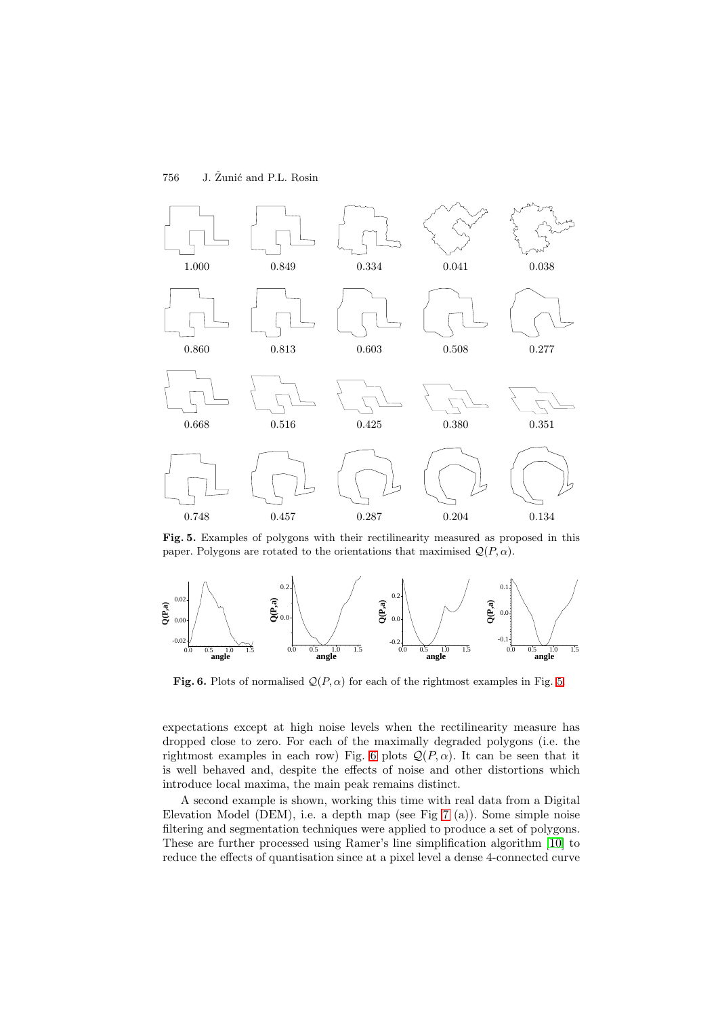<span id="page-10-0"></span>

**Fig. 5.** Examples of polygons with their rectilinearity measured as proposed in this paper. Polygons are rotated to the orientations that maximised  $\mathcal{Q}(P,\alpha)$ .



**Fig. 6.** Plots of normalised  $Q(P, \alpha)$  for each of the rightmost examples in Fig. 5.

expectations except at high noise levels when the rectilinearity measure has dropped close to zero. For each of the maximally degraded polygons (i.e. the rightmost examples in each row) Fig. 6 plots  $Q(P, \alpha)$ . It can be seen that it is well behaved and, despite the effects of noise and other distortions which introduce local maxima, the main peak remains distinct.

A second example is shown, working this time with real data from a Digital Elevation Model (DEM), i.e. a depth map (see Fig [7](#page-11-0) (a)). Some simple noise filtering and segmentation techniques were applied to produce a set of polygons. These are further processed using Ramer's line simplification algorithm [\[10\]](#page-12-0) to reduce the effects of quantisation since at a pixel level a dense 4-connected curve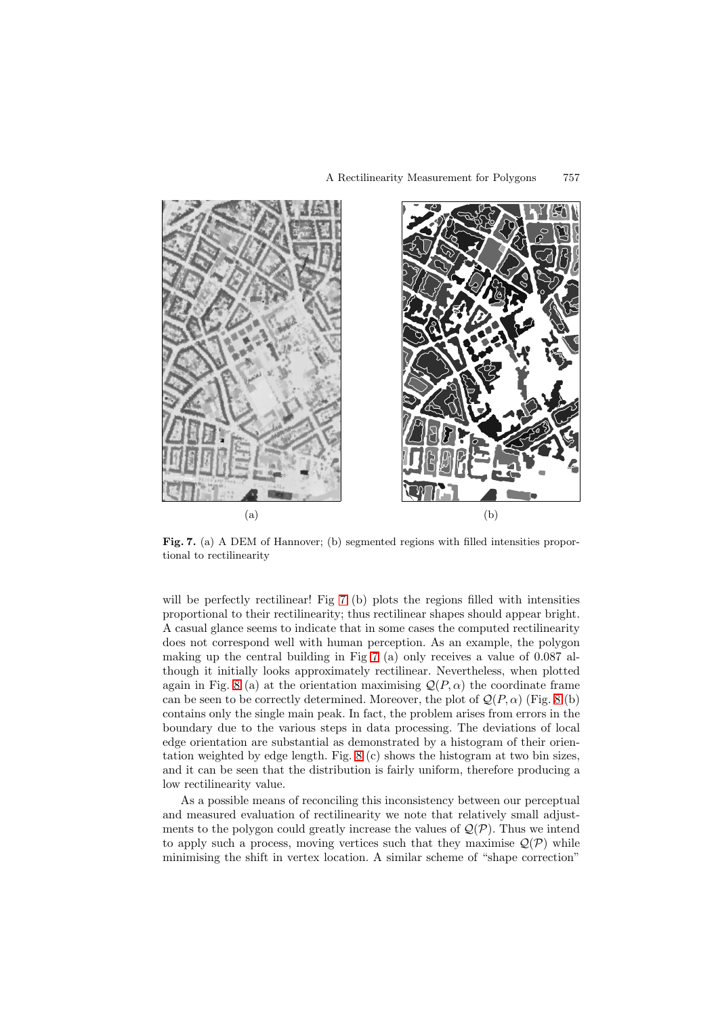<span id="page-11-0"></span>

Fig. 7. (a) A DEM of Hannover; (b) segmented regions with filled intensities proportional to rectilinearity

will be perfectly rectilinear! Fig 7 (b) plots the regions filled with intensities proportional to their rectilinearity; thus rectilinear shapes should appear bright. A casual glance seems to indicate that in some cases the computed rectilinearity does not correspond well with human perception. As an example, the polygon making up the central building in Fig 7 (a) only receives a value of 0.087 although it initially looks approximately rectilinear. Nevertheless, when plotted again in Fig. [8](#page-12-0) (a) at the orientation maximising  $\mathcal{Q}(P,\alpha)$  the coordinate frame can be seen to be correctly determined. Moreover, the plot of  $\mathcal{Q}(P,\alpha)$  (Fig. [8](#page-12-0) (b) contains only the single main peak. In fact, the problem arises from errors in the boundary due to the various steps in data processing. The deviations of local edge orientation are substantial as demonstrated by a histogram of their orientation weighted by edge length. Fig. [8](#page-12-0) (c) shows the histogram at two bin sizes, and it can be seen that the distribution is fairly uniform, therefore producing a low rectilinearity value.

As a possible means of reconciling this inconsistency between our perceptual and measured evaluation of rectilinearity we note that relatively small adjustments to the polygon could greatly increase the values of  $\mathcal{Q}(\mathcal{P})$ . Thus we intend to apply such a process, moving vertices such that they maximise  $\mathcal{Q}(\mathcal{P})$  while minimising the shift in vertex location. A similar scheme of "shape correction"